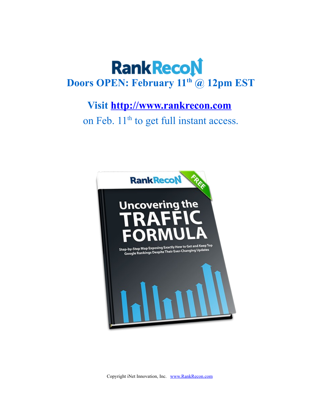# **Rank RecoN Doors OPEN: February 11th @ 12pm EST**

### **Visit [http://www.rankrecon.com](http://www.rankrecon.com/)**

on Feb. 11<sup>th</sup> to get full instant access.



Copyright iNet Innovation, Inc. [www.RankRecon.com](http://www.RankRecon.com/)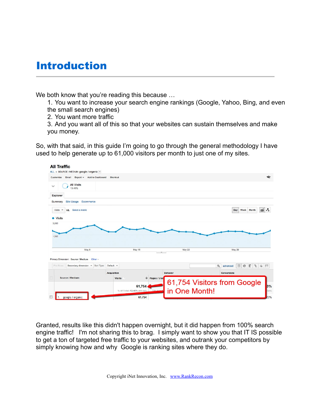### Introduction

We both know that you're reading this because ...

1. You want to increase your search engine rankings (Google, Yahoo, Bing, and even the small search engines)

2. You want more traffic

3. And you want all of this so that your websites can sustain themselves and make you money.

So, with that said, in this guide I'm going to go through the general methodology I have used to help generate up to 61,000 visitors per month to just one of my sites.



Granted, results like this didn't happen overnight, but it did happen from 100% search engine traffic! I'm not sharing this to brag. I simply want to show you that IT IS possible to get a ton of targeted free traffic to your websites, and outrank your competitors by simply knowing how and why Google is ranking sites where they do.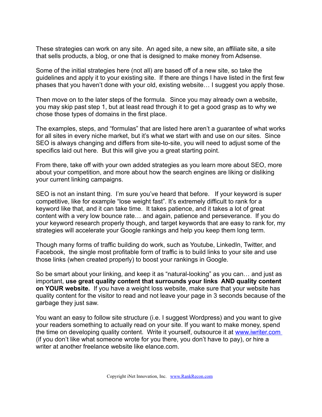These strategies can work on any site. An aged site, a new site, an affiliate site, a site that sells products, a blog, or one that is designed to make money from Adsense.

Some of the initial strategies here (not all) are based off of a new site, so take the guidelines and apply it to your existing site. If there are things I have listed in the first few phases that you haven't done with your old, existing website… I suggest you apply those.

Then move on to the later steps of the formula. Since you may already own a website, you may skip past step 1, but at least read through it to get a good grasp as to why we chose those types of domains in the first place.

The examples, steps, and "formulas" that are listed here aren't a guarantee of what works for all sites in every niche market, but it's what we start with and use on our sites. Since SEO is always changing and differs from site-to-site, you will need to adjust some of the specifics laid out here. But this will give you a great starting point.

From there, take off with your own added strategies as you learn more about SEO, more about your competition, and more about how the search engines are liking or disliking your current linking campaigns.

SEO is not an instant thing. I'm sure you've heard that before. If your keyword is super competitive, like for example "lose weight fast". It's extremely difficult to rank for a keyword like that, and it can take time. It takes patience, and it takes a lot of great content with a very low bounce rate… and again, patience and perseverance. If you do your keyword research properly though, and target keywords that are easy to rank for, my strategies will accelerate your Google rankings and help you keep them long term.

Though many forms of traffic building do work, such as Youtube, LinkedIn, Twitter, and Facebook, the single most profitable form of traffic is to build links to your site and use those links (when created properly) to boost your rankings in Google.

So be smart about your linking, and keep it as "natural-looking" as you can… and just as important, **use great quality content that surrounds your links AND quality content on YOUR website.** If you have a weight loss website, make sure that your website has quality content for the visitor to read and not leave your page in 3 seconds because of the garbage they just saw.

You want an easy to follow site structure (i.e. I suggest Wordpress) and you want to give your readers something to actually read on your site. If you want to make money, spend the time on developing quality content. Write it yourself, outsource it at [www.iwriter.com](http://www.iwriter.com/) (if you don't like what someone wrote for you there, you don't have to pay), or hire a writer at another freelance website like elance.com.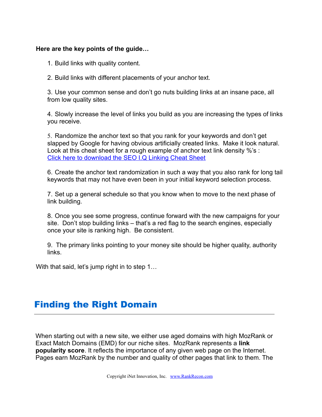#### **Here are the key points of the guide…**

- 1. Build links with quality content.
- 2. Build links with different placements of your anchor text.

3. Use your common sense and don't go nuts building links at an insane pace, all from low quality sites.

4. Slowly increase the level of links you build as you are increasing the types of links you receive.

5. Randomize the anchor text so that you rank for your keywords and don't get slapped by Google for having obvious artificially created links. Make it look natural. Look at this cheat sheet for a rough example of anchor text link density %'s : [Click here to download the SEO I.Q Linking Cheat Sheet](https://iq.seomojo.com/linking-cheat-sheet.pdf)

6. Create the anchor text randomization in such a way that you also rank for long tail keywords that may not have even been in your initial keyword selection process.

7. Set up a general schedule so that you know when to move to the next phase of link building.

8. Once you see some progress, continue forward with the new campaigns for your site. Don't stop building links – that's a red flag to the search engines, especially once your site is ranking high. Be consistent.

9. The primary links pointing to your money site should be higher quality, authority links.

With that said, let's jump right in to step 1...

### Finding the Right Domain

When starting out with a new site, we either use aged domains with high MozRank or Exact Match Domains (EMD) for our niche sites. MozRank represents a **link popularity score**. It reflects the importance of any given web page on the Internet. Pages earn MozRank by the number and quality of other pages that link to them. The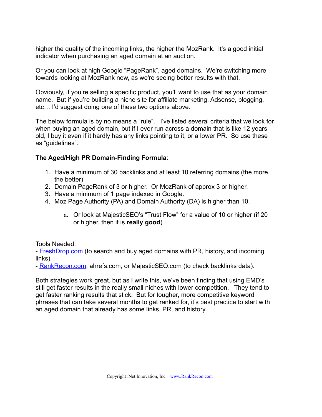higher the quality of the incoming links, the higher the MozRank. It's a good initial indicator when purchasing an aged domain at an auction.

Or you can look at high Google "PageRank", aged domains. We're switching more towards looking at MozRank now, as we're seeing better results with that.

Obviously, if you're selling a specific product, you'll want to use that as your domain name. But if you're building a niche site for affiliate marketing, Adsense, blogging, etc… I'd suggest doing one of these two options above.

The below formula is by no means a "rule". I've listed several criteria that we look for when buying an aged domain, but if I ever run across a domain that is like 12 years old, I buy it even if it hardly has any links pointing to it, or a lower PR. So use these as "guidelines".

#### **The Aged/High PR Domain-Finding Formula**:

- 1. Have a minimum of 30 backlinks and at least 10 referring domains (the more, the better)
- 2. Domain PageRank of 3 or higher. Or MozRank of approx 3 or higher.
- 3. Have a minimum of 1 page indexed in Google.
- 4. Moz Page Authority (PA) and Domain Authority (DA) is higher than 10.
	- a. Or look at MajesticSEO's "Trust Flow" for a value of 10 or higher (if 20 or higher, then it is **really good**)

Tools Needed:

- **FreshDrop.com** (to search and buy aged domains with PR, history, and incoming links)

- [RankRecon.com,](http://www.rankrecon.com/) ahrefs.com, or MajesticSEO.com (to check backlinks data).

Both strategies work great, but as I write this, we've been finding that using EMD's still get faster results in the really small niches with lower competition. They tend to get faster ranking results that stick. But for tougher, more competitive keyword phrases that can take several months to get ranked for, it's best practice to start with an aged domain that already has some links, PR, and history.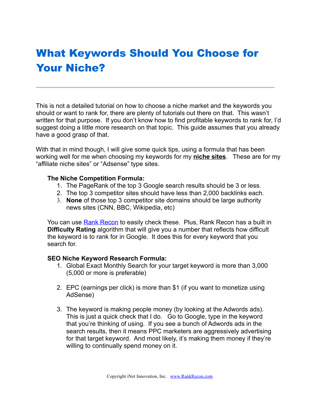## What Keywords Should You Choose for Your Niche?

This is not a detailed tutorial on how to choose a niche market and the keywords you should or want to rank for, there are plenty of tutorials out there on that. This wasn't written for that purpose. If you don't know how to find profitable keywords to rank for, I'd suggest doing a little more research on that topic. This guide assumes that you already have a good grasp of that.

With that in mind though, I will give some quick tips, using a formula that has been working well for me when choosing my keywords for my **niche sites**. These are for my "affiliate niche sites" or "Adsense" type sites.

#### **The Niche Competition Formula:**

- 1. The PageRank of the top 3 Google search results should be 3 or less.
- 2. The top 3 competitor sites should have less than 2,000 backlinks each.
- 3. **None** of those top 3 competitor site domains should be large authority news sites (CNN, BBC, Wikipedia, etc)

You can use **Rank Recon** to easily check these. Plus, [Rank Recon](http://www.rankrecon.com/) has a built in **Difficulty Rating** algorithm that will give you a number that reflects how difficult the keyword is to rank for in Google. It does this for every keyword that you search for.

#### **SEO Niche Keyword Research Formula:**

- 1. Global Exact Monthly Search for your target keyword is more than 3,000 (5,000 or more is preferable)
- 2. EPC (earnings per click) is more than \$1 (if you want to monetize using AdSense)
- 3. The keyword is making people money (by looking at the Adwords ads). This is just a quick check that I do. Go to Google, type in the keyword that you're thinking of using. If you see a bunch of Adwords ads in the search results, then it means PPC marketers are aggressively advertising for that target keyword. And most likely, it's making them money if they're willing to continually spend money on it.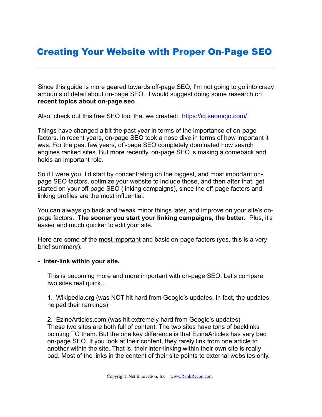### Creating Your Website with Proper On-Page SEO

Since this guide is more geared towards off-page SEO, I'm not going to go into crazy amounts of detail about on-page SEO. I would suggest doing some research on **recent topics about on-page seo**.

Also, check out this free SEO tool that we created: [https://iq.seomojo.com/](https://iq.seomojo.com/index.php)

Things have changed a bit the past year in terms of the importance of on-page factors. In recent years, on-page SEO took a nose dive in terms of how important it was. For the past few years, off-page SEO completely dominated how search engines ranked sites. But more recently, on-page SEO is making a comeback and holds an important role.

So if I were you, I'd start by concentrating on the biggest, and most important onpage SEO factors, optimize your website to include those, and then after that, get started on your off-page SEO (linking campaigns), since the off-page factors and linking profiles are the most influential.

You can always go back and tweak minor things later, and improve on your site's onpage factors. **The sooner you start your linking campaigns, the better.** Plus, it's easier and much quicker to edit your site.

Here are some of the most important and basic on-page factors (yes, this is a very brief summary):

#### **- Inter-link within your site.**

This is becoming more and more important with on-page SEO. Let's compare two sites real quick…

1. Wikipedia.org (was NOT hit hard from Google's updates. In fact, the updates helped their rankings)

2. EzineArticles.com (was hit extremely hard from Google's updates) These two sites are both full of content. The two sites have tons of backlinks pointing TO them. But the one key difference is that EzineArticles has very bad on‐page SEO. If you look at their content, they rarely link from one article to another within the site. That is, their inter‐linking within their own site is really bad. Most of the links in the content of their site points to external websites only.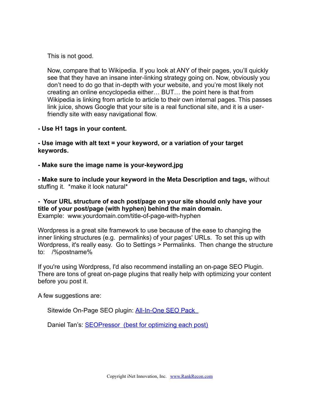This is not good.

Now, compare that to Wikipedia. If you look at ANY of their pages, you'll quickly see that they have an insane inter-linking strategy going on. Now, obviously you don't need to do go that in‐depth with your website, and you're most likely not creating an online encyclopedia either… BUT… the point here is that from Wikipedia is linking from article to article to their own internal pages. This passes link juice, shows Google that your site is a real functional site, and it is a user‐ friendly site with easy navigational flow.

**- Use H1 tags in your content.**

**- Use image with alt text = your keyword, or a variation of your target keywords.**

**- Make sure the image name is your-keyword.jpg**

**- Make sure to include your keyword in the Meta Description and tags,** without stuffing it. \*make it look natural\*

**- Your URL structure of each post/page on your site should only have your title of your post/page (with hyphen) behind the main domain.** Example: www.yourdomain.com/title-of-page-with-hyphen

Wordpress is a great site framework to use because of the ease to changing the inner linking structures (e.g. permalinks) of your pages' URLs. To set this up with Wordpress, it's really easy. Go to Settings > Permalinks. Then change the structure to: /%postname%

If you're using Wordpress, I'd also recommend installing an on-page SEO Plugin. There are tons of great on-page plugins that really help with optimizing your content before you post it.

A few suggestions are:

Sitewide On-Page SEO plugin: All-In-One SEO Pack

Daniel Tan's: [SEOPressor \(best for optimizing each post\)](http://www.rankrecon.com/seo-pressor/)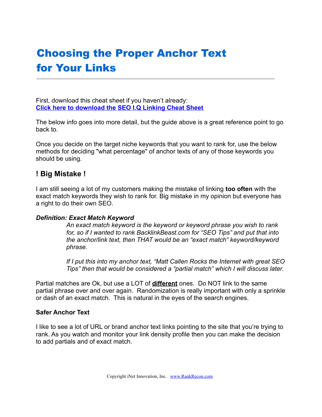## Choosing the Proper Anchor Text for Your Links

First, download this cheat sheet if you haven't already: **[Click here to download the SEO I.Q Linking Cheat Sheet](https://iq.seomojo.com/linking-cheat-sheet.pdf)**

The below info goes into more detail, but the guide above is a great reference point to go back to.

Once you decide on the target niche keywords that you want to rank for, use the below methods for deciding "what percentage" of anchor texts of any of those keywords you should be using.

#### **! Big Mistake !**

I am still seeing a lot of my customers making the mistake of linking **too often** with the exact match keywords they wish to rank for. Big mistake in my opinion but everyone has a right to do their own SEO.

#### *Definition: Exact Match Keyword*

*An exact match keyword is the keyword or keyword phrase you wish to rank for, so if I wanted to rank BacklinkBeast.com for "SEO Tips" and put that into the anchor/link text, then THAT would be an "exact match" keyword/keyword phrase.* 

*If I put this into my anchor text, "Matt Callen Rocks the Internet with great SEO Tips" then that would be considered a "partial match" which I will discuss later.*

Partial matches are Ok, but use a LOT of **different** ones. Do NOT link to the same partial phrase over and over again. Randomization is really important with only a sprinkle or dash of an exact match. This is natural in the eyes of the search engines.

#### **Safer Anchor Text**

I like to see a lot of URL or brand anchor text links pointing to the site that you're trying to rank. As you watch and monitor your link density profile then you can make the decision to add partials and of exact match.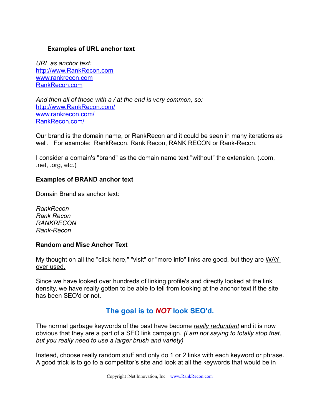#### **Examples of URL anchor text**

*URL as anchor text:*  [http://www.RankRecon.com](http://www.rankrecon.com/) [www.rankrecon.com](http://www.rankrecon.com/) [RankRecon.com](http://www.rankrecon.com/)

*And then all of those with a / at the end is very common, so:* [http://www.RankRecon.com/](http://www.rankrecon.com/) [www.rankrecon.com/](http://www.rankrecon.com/) [RankRecon.com/](http://www.rankrecon.com/)

Our brand is the domain name, or RankRecon and it could be seen in many iterations as well. For example: RankRecon, Rank Recon, RANK RECON or Rank-Recon.

I consider a domain's "brand" as the domain name text "without" the extension. (.com, .net, .org, etc.)

#### **Examples of BRAND anchor text**

Domain Brand as anchor text:

*RankRecon Rank Recon RANKRECON Rank-Recon*

#### **Random and Misc Anchor Text**

My thought on all the "click here," "visit" or "more info" links are good, but they are WAY over used.

Since we have looked over hundreds of linking profile's and directly looked at the link density, we have really gotten to be able to tell from looking at the anchor text if the site has been SEO'd or not.

#### **The goal is to** *NOT* **look SEO'd.**

The normal garbage keywords of the past have become *really redundant* and it is now obvious that they are a part of a SEO link campaign. *(I am not saying to totally stop that, but you really need to use a larger brush and variety)*

Instead, choose really random stuff and only do 1 or 2 links with each keyword or phrase. A good trick is to go to a competitor's site and look at all the keywords that would be in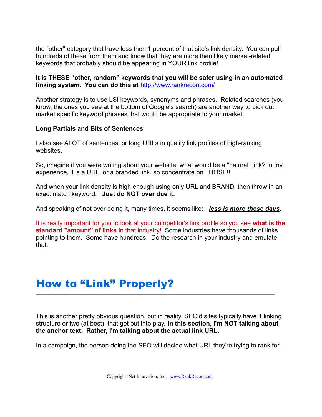the "other" category that have less then 1 percent of that site's link density. You can pull hundreds of these from them and know that they are more then likely market-related keywords that probably should be appearing in YOUR link profile!

#### **It is THESE "other, random" keywords that you will be safer using in an automated linking system. You can do this at** <http://www.rankrecon.com/>

Another strategy is to use LSI keywords, synonyms and phrases. Related searches (you know, the ones you see at the bottom of Google's search) are another way to pick out market specific keyword phrases that would be appropriate to your market.

#### **Long Partials and Bits of Sentences**

I also see ALOT of sentences, or long URLs in quality link profiles of high-ranking websites.

So, imagine if you were writing about your website, what would be a "natural" link? In my experience, it is a URL, or a branded link, so concentrate on THOSE!!

And when your link density is high enough using only URL and BRAND, then throw in an exact match keyword. **Just do NOT over due it.**

And speaking of not over doing it, many times, it seems like: *less is more these days***.**

It is really important for you to look at your competitor's link profile so you see **what is the standard "amount" of links** in that industry! Some industries have thousands of links pointing to them. Some have hundreds. Do the research in your industry and emulate that.

### How to "Link" Properly?

This is another pretty obvious question, but in reality, SEO'd sites typically have 1 linking structure or two (at best) that get put into play. **In this section, I'm NOT talking about the anchor text. Rather, I'm talking about the actual link URL.**

In a campaign, the person doing the SEO will decide what URL they're trying to rank for.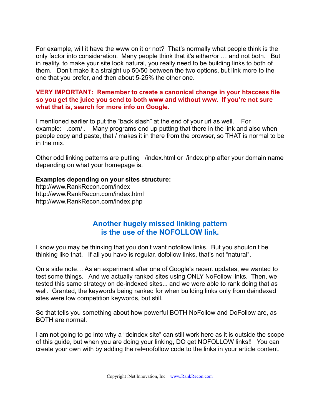For example, will it have the www on it or not? That's normally what people think is the only factor into consideration. Many people think that it's either/or … and not both. But in reality, to make your site look natural, you really need to be building links to both of them. Don't make it a straight up 50/50 between the two options, but link more to the one that you prefer, and then about 5-25% the other one.

#### **VERY IMPORTANT: Remember to create a canonical change in your htaccess file so you get the juice you send to both www and without www. If you're not sure what that is, search for more info on Google.**

I mentioned earlier to put the "back slash" at the end of your url as well. For example: .com/ . Many programs end up putting that there in the link and also when people copy and paste, that / makes it in there from the browser, so THAT is normal to be in the mix.

Other odd linking patterns are putting /index.html or /index.php after your domain name depending on what your homepage is.

#### **Examples depending on your sites structure:**

http://www.RankRecon.com/index http://www.RankRecon.com/index.html http://www.RankRecon.com/index.php

#### **Another hugely missed linking pattern is the use of the NOFOLLOW link.**

I know you may be thinking that you don't want nofollow links. But you shouldn't be thinking like that. If all you have is regular, dofollow links, that's not "natural".

On a side note… As an experiment after one of Google's recent updates, we wanted to test some things. And we actually ranked sites using ONLY NoFollow links. Then, we tested this same strategy on de-indexed sites... and we were able to rank doing that as well. Granted, the keywords being ranked for when building links only from deindexed sites were low competition keywords, but still.

So that tells you something about how powerful BOTH NoFollow and DoFollow are, as BOTH are normal.

I am not going to go into why a "deindex site" can still work here as it is outside the scope of this guide, but when you are doing your linking, DO get NOFOLLOW links!! You can create your own with by adding the rel=nofollow code to the links in your article content.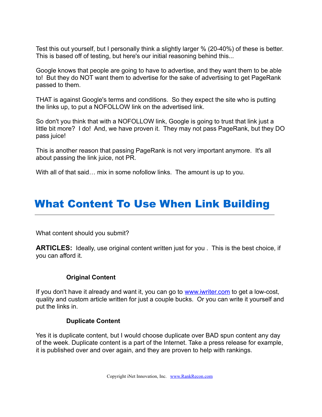Test this out yourself, but I personally think a slightly larger % (20-40%) of these is better. This is based off of testing, but here's our initial reasoning behind this...

Google knows that people are going to have to advertise, and they want them to be able to! But they do NOT want them to advertise for the sake of advertising to get PageRank passed to them.

THAT is against Google's terms and conditions. So they expect the site who is putting the links up, to put a NOFOLLOW link on the advertised link.

So don't you think that with a NOFOLLOW link, Google is going to trust that link just a little bit more? I do! And, we have proven it. They may not pass PageRank, but they DO pass juice!

This is another reason that passing PageRank is not very important anymore. It's all about passing the link juice, not PR.

With all of that said... mix in some nofollow links. The amount is up to you.

## What Content To Use When Link Building

What content should you submit?

**ARTICLES:** Ideally, use original content written just for you . This is the best choice, if you can afford it.

#### **Original Content**

If you don't have it already and want it, you can go to [www.iwriter.com](http://www.iwriter.com/) to get a low-cost, quality and custom article written for just a couple bucks. Or you can write it yourself and put the links in.

#### **Duplicate Content**

Yes it is duplicate content, but I would choose duplicate over BAD spun content any day of the week. Duplicate content is a part of the Internet. Take a press release for example, it is published over and over again, and they are proven to help with rankings.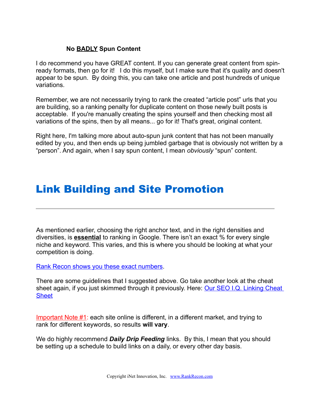#### **No BADLY Spun Content**

I do recommend you have GREAT content. If you can generate great content from spinready formats, then go for it! I do this myself, but I make sure that it's quality and doesn't appear to be spun. By doing this, you can take one article and post hundreds of unique variations.

Remember, we are not necessarily trying to rank the created "article post" urls that you are building, so a ranking penalty for duplicate content on those newly built posts is acceptable. If you're manually creating the spins yourself and then checking most all variations of the spins, then by all means... go for it! That's great, original content.

Right here, I'm talking more about auto-spun junk content that has not been manually edited by you, and then ends up being jumbled garbage that is obviously not written by a "person". And again, when I say spun content, I mean *obviously* "spun" content.

### Link Building and Site Promotion

As mentioned earlier, choosing the right anchor text, and in the right densities and diversities, is **essential** to ranking in Google. There isn't an exact % for every single niche and keyword. This varies, and this is where you should be looking at what your competition is doing.

[Rank Recon shows you these exact numbers.](http://www.rankrecon.com/)

There are some guidelines that I suggested above. Go take another look at the cheat sheet again, if you just skimmed through it previously. Here: [Our SEO I.Q. Linking Cheat](https://iq.seomojo.com/linking-cheat-sheet.pdf) **[Sheet](https://iq.seomojo.com/linking-cheat-sheet.pdf)** 

Important Note #1: each site online is different, in a different market, and trying to rank for different keywords, so results **will vary**.

We do highly recommend *Daily Drip Feeding* links. By this, I mean that you should be setting up a schedule to build links on a daily, or every other day basis.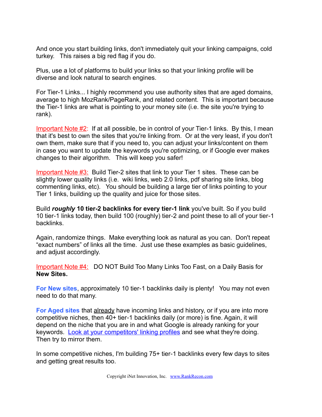And once you start building links, don't immediately quit your linking campaigns, cold turkey. This raises a big red flag if you do.

Plus, use a lot of platforms to build your links so that your linking profile will be diverse and look natural to search engines.

For Tier-1 Links... I highly recommend you use authority sites that are aged domains, average to high MozRank/PageRank, and related content. This is important because the Tier-1 links are what is pointing to your money site (i.e. the site you're trying to rank).

Important Note #2: If at all possible, be in control of your Tier-1 links. By this, I mean that it's best to own the sites that you're linking from. Or at the very least, if you don't own them, make sure that if you need to, you can adjust your links/content on them in case you want to update the keywords you're optimizing, or if Google ever makes changes to their algorithm. This will keep you safer!

Important Note #3: Build Tier-2 sites that link to your Tier 1 sites. These can be slightly lower quality links (i.e. wiki links, web 2.0 links, pdf sharing site links, blog commenting links, etc). You should be building a large tier of links pointing to your Tier 1 links, building up the quality and juice for those sites.

Build *roughly* **10 tier-2 backlinks for every tier-1 link** you've built. So if you build 10 tier‐1 links today, then build 100 (roughly) tier‐2 and point these to all of your tier‐1 backlinks.

Again, randomize things. Make everything look as natural as you can. Don't repeat "exact numbers" of links all the time. Just use these examples as basic guidelines, and adjust accordingly.

Important Note #4: DO NOT Build Too Many Links Too Fast, on a Daily Basis for **New Sites.** 

**For New sites, approximately 10 tier-1 backlinks daily is plenty! You may not even** need to do that many.

**For Aged sites** that already have incoming links and history, or if you are into more competitive niches, then 40+ tier‐1 backlinks daily (or more) is fine. Again, it will depend on the niche that you are in and what Google is already ranking for your keywords. [Look at your competitors' linking profiles](http://www.rankrecon.com/) and see what they're doing. Then try to mirror them.

In some competitive niches, I'm building 75+ tier-1 backlinks every few days to sites and getting great results too.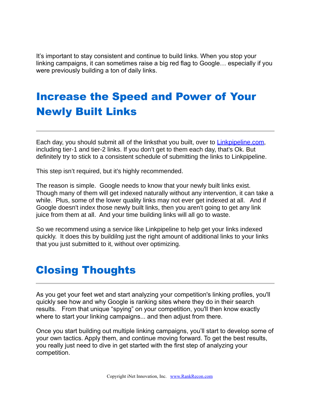It's important to stay consistent and continue to build links. When you stop your linking campaigns, it can sometimes raise a big red flag to Google… especially if you were previously building a ton of daily links.

## Increase the Speed and Power of Your Newly Built Links

Each day, you should submit all of the linksthat you built, over to Linkpipeline.com, including tier‐1 and tier‐2 links. If you don't get to them each day, that's Ok. But definitely try to stick to a consistent schedule of submitting the links to Linkpipeline.

This step isn't required, but it's highly recommended.

The reason is simple. Google needs to know that your newly built links exist. Though many of them will get indexed naturally without any intervention, it can take a while. Plus, some of the lower quality links may not ever get indexed at all. And if Google doesn't index those newly built links, then you aren't going to get any link juice from them at all. And your time building links will all go to waste.

So we recommend using a service like Linkpipeline to help get your links indexed quickly. It does this by buildilng just the right amount of additional links to your links that you just submitted to it, without over optimizing.

### Closing Thoughts

As you get your feet wet and start analyzing your competition's linking profiles, you'll quickly see how and why Google is ranking sites where they do in their search results. From that unique "spying" on your competition, you'll then know exactly where to start your linking campaigns... and then adjust from there.

Once you start building out multiple linking campaigns, you'll start to develop some of your own tactics. Apply them, and continue moving forward. To get the best results, you really just need to dive in get started with the first step of analyzing your competition.